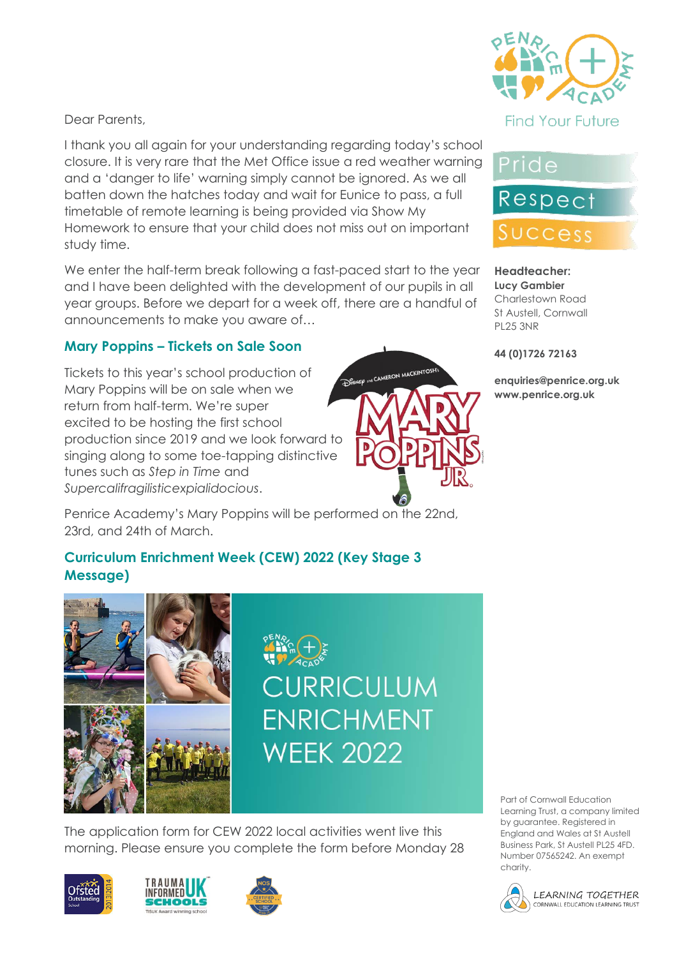

I thank you all again for your understanding regarding today's school closure. It is very rare that the Met Office issue a red weather warning and a 'danger to life' warning simply cannot be ignored. As we all batten down the hatches today and wait for Eunice to pass, a full timetable of remote learning is being provided via Show My Homework to ensure that your child does not miss out on important study time.

We enter the half-term break following a fast-paced start to the year and I have been delighted with the development of our pupils in all year groups. Before we depart for a week off, there are a handful of announcements to make you aware of…

## **Mary Poppins – Tickets on Sale Soon**

DISNEP and CAMERON MACKINTOSH Tickets to this year's school production of Mary Poppins will be on sale when we return from half-term. We're super excited to be hosting the first school production since 2019 and we look forward to singing along to some toe-tapping distinctive tunes such as *Step in Time* and *Supercalifragilisticexpialidocious*.

Penrice Academy's Mary Poppins will be performed on the 22nd, 23rd, and 24th of March.

# **Curriculum Enrichment Week (CEW) 2022 (Key Stage 3 Message)**



The application form for CEW 2022 local activities went live this morning. Please ensure you complete the form before Monday 28











#### **Headteacher: Lucy Gambier** Charlestown Road St Austell, Cornwall PL25 3NR

#### **44 (0)1726 72163**

**enquiries@penrice.org.uk www.penrice.org.uk**

Part of Cornwall Education Learning Trust, a company limited by guarantee. Registered in England and Wales at St Austell Business Park, St Austell PL25 4FD. Number 07565242. An exempt charity.

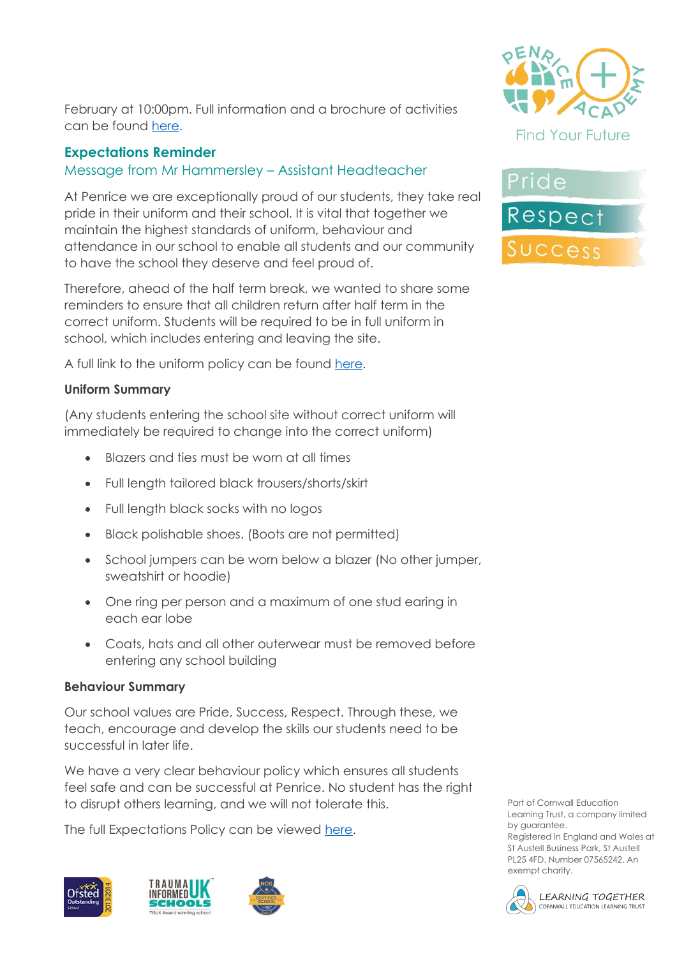

### **Expectations Reminder**

### Message from Mr Hammersley – Assistant Headteacher

At Penrice we are exceptionally proud of our students, they take real pride in their uniform and their school. It is vital that together we maintain the highest standards of uniform, behaviour and attendance in our school to enable all students and our community to have the school they deserve and feel proud of.

Therefore, ahead of the half term break, we wanted to share some reminders to ensure that all children return after half term in the correct uniform. Students will be required to be in full uniform in school, which includes entering and leaving the site.

A full link to the uniform policy can be found [here.](https://www.penriceacademy.org/uniform/)

#### **Uniform Summary**

(Any students entering the school site without correct uniform will immediately be required to change into the correct uniform)

- Blazers and ties must be worn at all times
- Full length tailored black trousers/shorts/skirt
- Full length black socks with no logos
- Black polishable shoes. (Boots are not permitted)
- School jumpers can be worn below a blazer (No other jumper, sweatshirt or hoodie)
- One ring per person and a maximum of one stud earing in each ear lobe
- Coats, hats and all other outerwear must be removed before entering any school building

#### **Behaviour Summary**

Our school values are Pride, Success, Respect. Through these, we teach, encourage and develop the skills our students need to be successful in later life.

We have a very clear behaviour policy which ensures all students feel safe and can be successful at Penrice. No student has the right to disrupt others learning, and we will not tolerate this.

The full Expectations Policy can be viewed [here.](https://www.penriceacademy.org/wp-content/uploads/2021/07/Expectations-Policy-Updated-1st-July-2021.pdf)











Part of Cornwall Education Learning Trust, a company limited by guarantee. Registered in England and Wales at St Austell Business Park, St Austell PL25 4FD. Number 07565242. An



exempt charity.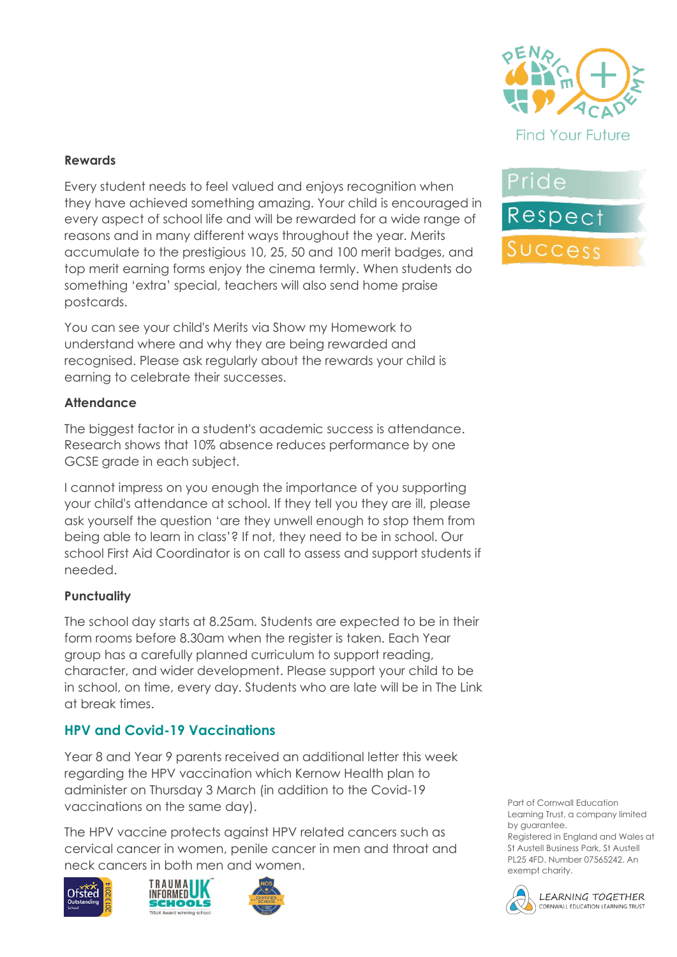

#### **Rewards**

Every student needs to feel valued and enjoys recognition when they have achieved something amazing. Your child is encouraged in every aspect of school life and will be rewarded for a wide range of reasons and in many different ways throughout the year. Merits accumulate to the prestigious 10, 25, 50 and 100 merit badges, and top merit earning forms enjoy the cinema termly. When students do something 'extra' special, teachers will also send home praise postcards.

You can see your child's Merits via Show my Homework to understand where and why they are being rewarded and recognised. Please ask regularly about the rewards your child is earning to celebrate their successes.

#### **Attendance**

The biggest factor in a student's academic success is attendance. Research shows that 10% absence reduces performance by one GCSE grade in each subject.

I cannot impress on you enough the importance of you supporting your child's attendance at school. If they tell you they are ill, please ask yourself the question 'are they unwell enough to stop them from being able to learn in class'? If not, they need to be in school. Our school First Aid Coordinator is on call to assess and support students if needed.

#### **Punctuality**

The school day starts at 8.25am. Students are expected to be in their form rooms before 8.30am when the register is taken. Each Year group has a carefully planned curriculum to support reading, character, and wider development. Please support your child to be in school, on time, every day. Students who are late will be in The Link at break times.

#### **HPV and Covid-19 Vaccinations**

Year 8 and Year 9 parents received an additional letter this week regarding the HPV vaccination which Kernow Health plan to administer on Thursday 3 March (in addition to the Covid-19 vaccinations on the same day).

The HPV vaccine protects against HPV related cancers such as cervical cancer in women, penile cancer in men and throat and neck cancers in both men and women.









Part of Cornwall Education Learning Trust, a company limited by guarantee. Registered in England and Wales at

St Austell Business Park, St Austell PL25 4FD. Number 07565242. An exempt charity.



LEARNING TOGETHER CORNWALL EDUCATION LEARNING TRUST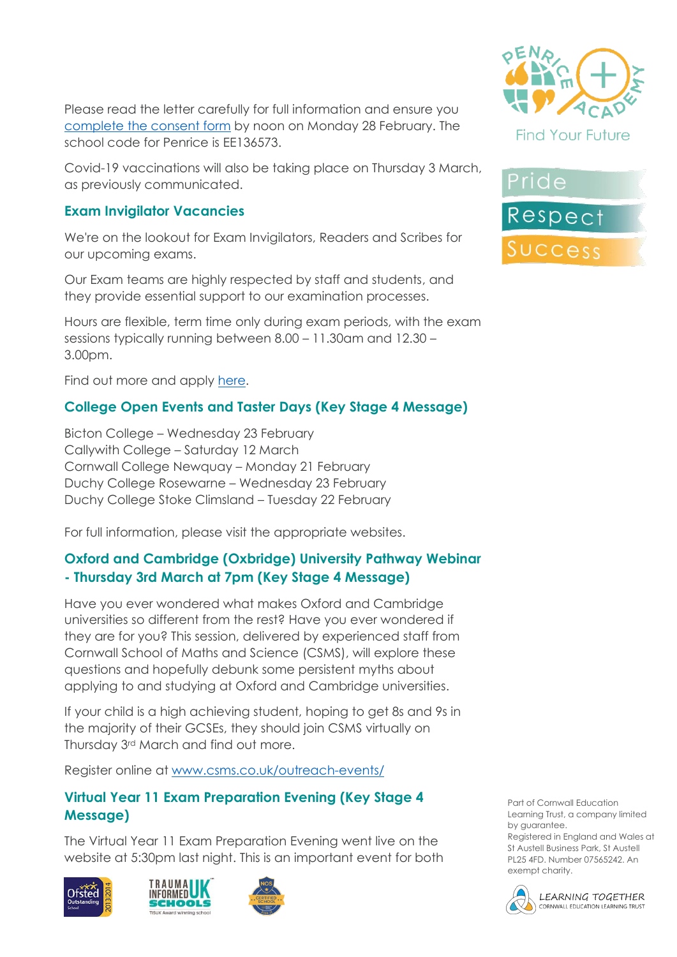Please read the letter carefully for full information and ensure you [complete the consent form](https://www.kernowimmunisations.co.uk/Forms/HPV) by noon on Monday 28 February. The school code for Penrice is EE136573.

Covid-19 vaccinations will also be taking place on Thursday 3 March, as previously communicated.

### **Exam Invigilator Vacancies**

We're on the lookout for Exam Invigilators, Readers and Scribes for our upcoming exams.

Our Exam teams are highly respected by staff and students, and they provide essential support to our examination processes.

Hours are flexible, term time only during exam periods, with the exam sessions typically running between 8.00 – 11.30am and 12.30 – 3.00pm.

Find out more and apply [here.](https://www.penriceacademy.org/vacancies/exam-invigilators-readers-and-scribes/)

# **College Open Events and Taster Days (Key Stage 4 Message)**

Bicton College – Wednesday 23 February Callywith College – Saturday 12 March Cornwall College Newquay – Monday 21 February Duchy College Rosewarne – Wednesday 23 February Duchy College Stoke Climsland – Tuesday 22 February

For full information, please visit the appropriate websites.

### **Oxford and Cambridge (Oxbridge) University Pathway Webinar - Thursday 3rd March at 7pm (Key Stage 4 Message)**

Have you ever wondered what makes Oxford and Cambridge universities so different from the rest? Have you ever wondered if they are for you? This session, delivered by experienced staff from Cornwall School of Maths and Science (CSMS), will explore these questions and hopefully debunk some persistent myths about applying to and studying at Oxford and Cambridge universities.

If your child is a high achieving student, hoping to get 8s and 9s in the majority of their GCSEs, they should join CSMS virtually on Thursday 3rd March and find out more.

Register online at [www.csms.co.uk/outreach-events/](http://www.csms.co.uk/outreach-events/)

### **Virtual Year 11 Exam Preparation Evening (Key Stage 4 Message)**

The Virtual Year 11 Exam Preparation Evening went live on the website at 5:30pm last night. This is an important event for both











Part of Cornwall Education Learning Trust, a company limited by guarantee.

Registered in England and Wales at St Austell Business Park, St Austell PL25 4FD. Number 07565242. An exempt charity.